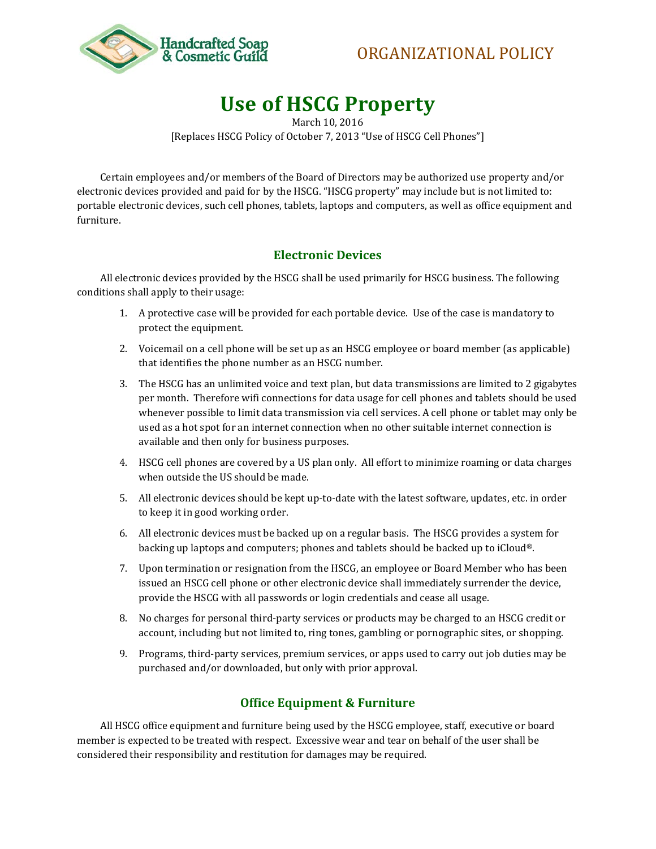



## **Use of HSCG Property**

March 10, 2016 [Replaces HSCG Policy of October 7, 2013 "Use of HSCG Cell Phones"]

Certain employees and/or members of the Board of Directors may be authorized use property and/or electronic devices provided and paid for by the HSCG. "HSCG property" may include but is not limited to: portable electronic devices, such cell phones, tablets, laptops and computers, as well as office equipment and furniture.

## **Electronic Devices**

All electronic devices provided by the HSCG shall be used primarily for HSCG business. The following conditions shall apply to their usage:

- 1. A protective case will be provided for each portable device. Use of the case is mandatory to protect the equipment.
- 2. Voicemail on a cell phone will be set up as an HSCG employee or board member (as applicable) that identifies the phone number as an HSCG number.
- 3. The HSCG has an unlimited voice and text plan, but data transmissions are limited to 2 gigabytes per month. Therefore wifi connections for data usage for cell phones and tablets should be used whenever possible to limit data transmission via cell services. A cell phone or tablet may only be used as a hot spot for an internet connection when no other suitable internet connection is available and then only for business purposes.
- 4. HSCG cell phones are covered by a US plan only. All effort to minimize roaming or data charges when outside the US should be made.
- 5. All electronic devices should be kept up-to-date with the latest software, updates, etc. in order to keep it in good working order.
- 6. All electronic devices must be backed up on a regular basis. The HSCG provides a system for backing up laptops and computers; phones and tablets should be backed up to iCloud®.
- 7. Upon termination or resignation from the HSCG, an employee or Board Member who has been issued an HSCG cell phone or other electronic device shall immediately surrender the device, provide the HSCG with all passwords or login credentials and cease all usage.
- 8. No charges for personal third-party services or products may be charged to an HSCG credit or account, including but not limited to, ring tones, gambling or pornographic sites, or shopping.
- 9. Programs, third-party services, premium services, or apps used to carry out job duties may be purchased and/or downloaded, but only with prior approval.

## **Office Equipment & Furniture**

All HSCG office equipment and furniture being used by the HSCG employee, staff, executive or board member is expected to be treated with respect. Excessive wear and tear on behalf of the user shall be considered their responsibility and restitution for damages may be required.